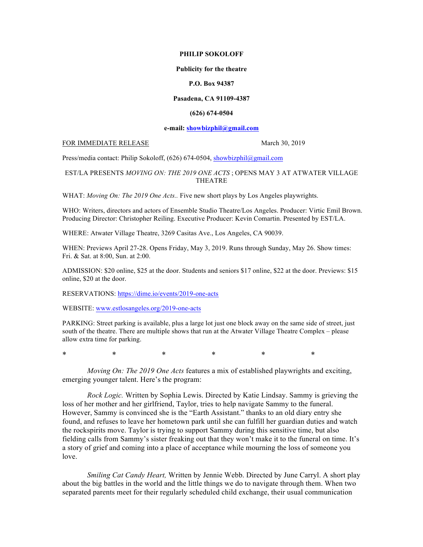#### **PHILIP SOKOLOFF**

#### **Publicity for the theatre**

# **P.O. Box 94387**

### **Pasadena, CA 91109-4387**

## **(626) 674-0504**

## **e-mail: showbizphil@gmail.com**

#### FOR IMMEDIATE RELEASE March 30, 2019

Press/media contact: Philip Sokoloff, (626) 674-0504, showbizphil@gmail.com

# EST/LA PRESENTS *MOVING ON: THE 2019 ONE ACTS* ; OPENS MAY 3 AT ATWATER VILLAGE THEATRE

WHAT: *Moving On: The 2019 One Acts.*. Five new short plays by Los Angeles playwrights.

WHO: Writers, directors and actors of Ensemble Studio Theatre/Los Angeles. Producer: Virtic Emil Brown. Producing Director: Christopher Reiling. Executive Producer: Kevin Comartin. Presented by EST/LA.

WHERE: Atwater Village Theatre, 3269 Casitas Ave., Los Angeles, CA 90039.

WHEN: Previews April 27-28. Opens Friday, May 3, 2019. Runs through Sunday, May 26. Show times: Fri. & Sat. at 8:00, Sun. at 2:00.

ADMISSION: \$20 online, \$25 at the door. Students and seniors \$17 online, \$22 at the door. Previews: \$15 online, \$20 at the door.

RESERVATIONS: https://dime.io/events/2019-one-acts

WEBSITE: www.estlosangeles.org/2019-one-acts

PARKING: Street parking is available, plus a large lot just one block away on the same side of street, just south of the theatre. There are multiple shows that run at the Atwater Village Theatre Complex – please allow extra time for parking.

\* \* \* \* \* \* \* \* \*

*Moving On: The 2019 One Acts* features a mix of established playwrights and exciting, emerging younger talent. Here's the program:

*Rock Logic.* Written by Sophia Lewis. Directed by Katie Lindsay. Sammy is grieving the loss of her mother and her girlfriend, Taylor, tries to help navigate Sammy to the funeral. However, Sammy is convinced she is the "Earth Assistant." thanks to an old diary entry she found, and refuses to leave her hometown park until she can fulfill her guardian duties and watch the rockspirits move. Taylor is trying to support Sammy during this sensitive time, but also fielding calls from Sammy's sister freaking out that they won't make it to the funeral on time. It's a story of grief and coming into a place of acceptance while mourning the loss of someone you love.

*Smiling Cat Candy Heart,* Written by Jennie Webb. Directed by June Carryl. A short play about the big battles in the world and the little things we do to navigate through them. When two separated parents meet for their regularly scheduled child exchange, their usual communication